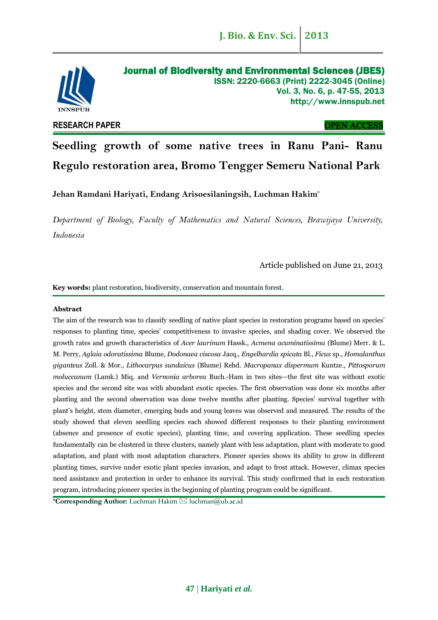

# **RESEARCH PAPER** OPEN ACCESS

**Seedling growth of some native trees in Ranu Pani- Ranu Regulo restoration area, Bromo Tengger Semeru National Park**

**Jehan Ramdani Hariyati, Endang Arisoesilaningsih, Luchman Hakim\***

*Department of Biology, Faculty of Mathematics and Natural Sciences, Brawijaya University, Indonesia*

Article published on June 21, 2013

**Key words:** plant restoration, biodiversity, conservation and mountain forest.

## **Abstract**

The aim of the research was to classify seedling of native plant species in restoration programs based on species' responses to planting time, species' competitiveness to invasive species, and shading cover. We observed the growth rates and growth characteristics of *Acer laurinum* Hassk., *Acmena acuminatissima* (Blume) Merr. & L. M. Perry, *Aglaia odoratissima* Blume, *Dodonaea viscosa* Jacq., *Engelhardia spicata* Bl., *Ficus* sp., *Homalanthus giganteus* Zoll. & Mor., *Lithocarpus sundaicus* (Blume) Rehd. *Macropanax dispermum* Kuntze., *Pittosporum moluccanum* (Lamk.) Miq. and *Vernonia arborea* Buch.-Ham in two sites—the first site was without exotic species and the second site was with abundant exotic species. The first observation was done six months after planting and the second observation was done twelve months after planting. Species' survival together with plant's height, stem diameter, emerging buds and young leaves was observed and measured. The results of the study showed that eleven seedling species each showed different responses to their planting environment (absence and presence of exotic species), planting time, and covering application. These seedling species fundamentally can be clustered in three clusters, namely plant with less adaptation, plant with moderate to good adaptation, and plant with most adaptation characters. Pioneer species shows its ability to grow in different planting times, survive under exotic plant species invasion, and adapt to frost attack. However, climax species need assistance and protection in order to enhance its survival. This study confirmed that in each restoration program, introducing pioneer species in the beginning of planting program could be significant.

**\*Corresponding Author:** Luchman Hakim ⊠ luchman@ub.ac.id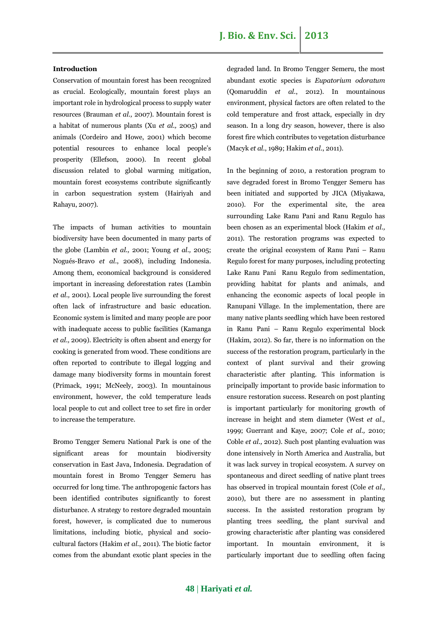# **Introduction**

Conservation of mountain forest has been recognized as crucial. Ecologically, mountain forest plays an important role in hydrological process to supply water resources (Brauman *et al.,* 2007). Mountain forest is a habitat of numerous plants (Xu *et al.,* 2005) and animals (Cordeiro and Howe, 2001) which become potential resources to enhance local people's prosperity (Ellefson, 2000). In recent global discussion related to global warming mitigation, mountain forest ecosystems contribute significantly in carbon sequestration system (Hairiyah and Rahayu, 2007).

The impacts of human activities to mountain biodiversity have been documented in many parts of the globe (Lambin *et al.,* 2001; Young *et al.,* 2005; Nogués-Bravo *et al.*, 2008), including Indonesia. Among them, economical background is considered important in increasing deforestation rates (Lambin *et al.,* 2001). Local people live surrounding the forest often lack of infrastructure and basic education. Economic system is limited and many people are poor with inadequate access to public facilities (Kamanga *et al.,* 2009). Electricity is often absent and energy for cooking is generated from wood. These conditions are often reported to contribute to illegal logging and damage many biodiversity forms in mountain forest (Primack, 1991; McNeely, 2003). In mountainous environment, however, the cold temperature leads local people to cut and collect tree to set fire in order to increase the temperature.

Bromo Tengger Semeru National Park is one of the significant areas for mountain biodiversity conservation in East Java, Indonesia. Degradation of mountain forest in Bromo Tengger Semeru has occurred for long time. The anthropogenic factors has been identified contributes significantly to forest disturbance. A strategy to restore degraded mountain forest, however, is complicated due to numerous limitations, including biotic, physical and sociocultural factors (Hakim *et al.*, 2011). The biotic factor comes from the abundant exotic plant species in the degraded land. In Bromo Tengger Semeru, the most abundant exotic species is *Eupatorium odoratum*  (Qomaruddin *et al.*, 2012). In mountainous environment, physical factors are often related to the cold temperature and frost attack, especially in dry season. In a long dry season, however, there is also forest fire which contributes to vegetation disturbance (Macyk *et al.*, 1989; Hakim *et al.*, 2011).

In the beginning of 2010, a restoration program to save degraded forest in Bromo Tengger Semeru has been initiated and supported by JICA (Miyakawa, 2010). For the experimental site, the area surrounding Lake Ranu Pani and Ranu Regulo has been chosen as an experimental block (Hakim *et al.,* 2011). The restoration programs was expected to create the original ecosystem of Ranu Pani – Ranu Regulo forest for many purposes, including protecting Lake Ranu Pani Ranu Regulo from sedimentation, providing habitat for plants and animals, and enhancing the economic aspects of local people in Ranupani Village. In the implementation, there are many native plants seedling which have been restored in Ranu Pani – Ranu Regulo experimental block (Hakim, 2012). So far, there is no information on the success of the restoration program, particularly in the context of plant survival and their growing characteristic after planting. This information is principally important to provide basic information to ensure restoration success. Research on post planting is important particularly for monitoring growth of increase in height and stem diameter (West *et al.,* 1999; Guerrant and Kaye, 2007; Cole *et al.,* 2010; Coble *et al.,* 2012). Such post planting evaluation was done intensively in North America and Australia, but it was lack survey in tropical ecosystem. A survey on spontaneous and direct seedling of native plant trees has observed in tropical mountain forest (Cole *et al.,* 2010), but there are no assessment in planting success. In the assisted restoration program by planting trees seedling, the plant survival and growing characteristic after planting was considered important. In mountain environment, it is particularly important due to seedling often facing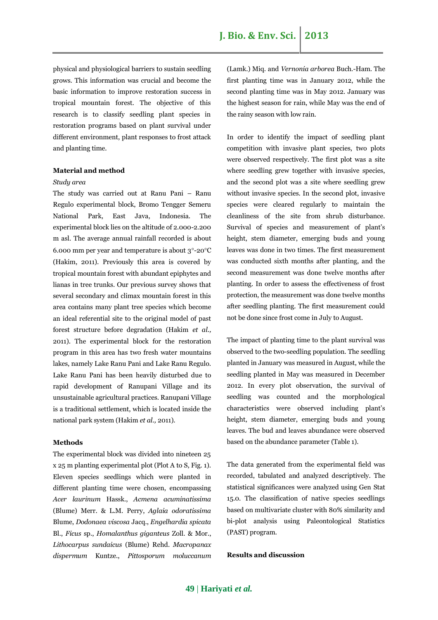physical and physiological barriers to sustain seedling grows. This information was crucial and become the basic information to improve restoration success in tropical mountain forest. The objective of this research is to classify seedling plant species in restoration programs based on plant survival under different environment, plant responses to frost attack and planting time.

### **Material and method**

### *Study area*

The study was carried out at Ranu Pani – Ranu Regulo experimental block, Bromo Tengger Semeru National Park, East Java, Indonesia. The experimental block lies on the altitude of 2.000-2.200 m asl. The average annual rainfall recorded is about 6.000 mm per year and temperature is about  $3^{\circ}$ -20 $^{\circ}$ C (Hakim, 2011). Previously this area is covered by tropical mountain forest with abundant epiphytes and lianas in tree trunks. Our previous survey shows that several secondary and climax mountain forest in this area contains many plant tree species which become an ideal referential site to the original model of past forest structure before degradation (Hakim *et al.,* 2011). The experimental block for the restoration program in this area has two fresh water mountains lakes, namely Lake Ranu Pani and Lake Ranu Regulo. Lake Ranu Pani has been heavily disturbed due to rapid development of Ranupani Village and its unsustainable agricultural practices. Ranupani Village is a traditional settlement, which is located inside the national park system (Hakim *et al.,* 2011).

#### **Methods**

The experimental block was divided into nineteen 25 x 25 m planting experimental plot (Plot A to S, Fig. 1). Eleven species seedlings which were planted in different planting time were chosen, encompassing *Acer laurinum* Hassk., *Acmena acuminatissima* (Blume) Merr. & L.M. Perry, *Aglaia odoratissima* Blume, *Dodonaea viscosa* Jacq., *Engelhardia spicata* Bl., *Ficus* sp., *Homalanthus giganteus* Zoll. & Mor., *Lithocarpus sundaicus* (Blume) Rehd. *Macropanax dispermum* Kuntze., *Pittosporum moluccanum* (Lamk.) Miq. and *Vernonia arborea* Buch.-Ham. The first planting time was in January 2012, while the second planting time was in May 2012. January was the highest season for rain, while May was the end of the rainy season with low rain.

In order to identify the impact of seedling plant competition with invasive plant species, two plots were observed respectively. The first plot was a site where seedling grew together with invasive species, and the second plot was a site where seedling grew without invasive species. In the second plot, invasive species were cleared regularly to maintain the cleanliness of the site from shrub disturbance. Survival of species and measurement of plant's height, stem diameter, emerging buds and young leaves was done in two times. The first measurement was conducted sixth months after planting, and the second measurement was done twelve months after planting. In order to assess the effectiveness of frost protection, the measurement was done twelve months after seedling planting. The first measurement could not be done since frost come in July to August.

The impact of planting time to the plant survival was observed to the two-seedling population. The seedling planted in January was measured in August, while the seedling planted in May was measured in December 2012. In every plot observation, the survival of seedling was counted and the morphological characteristics were observed including plant's height, stem diameter, emerging buds and young leaves. The bud and leaves abundance were observed based on the abundance parameter (Table 1).

The data generated from the experimental field was recorded, tabulated and analyzed descriptively. The statistical significances were analyzed using Gen Stat 15.0. The classification of native species seedlings based on multivariate cluster with 80% similarity and bi-plot analysis using Paleontological Statistics (PAST) program.

# **Results and discussion**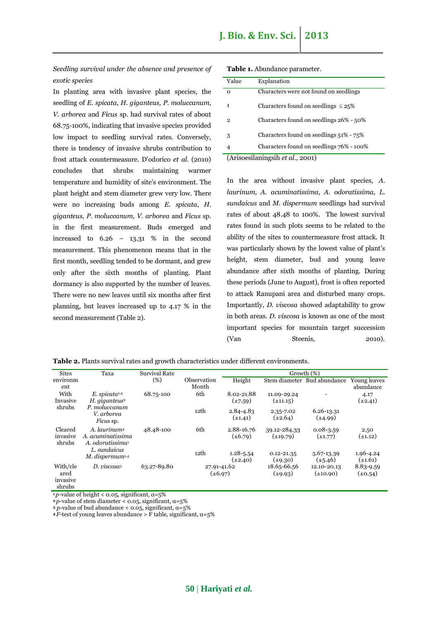*Seedling survival under the absence and presence of exotic species*

In planting area with invasive plant species, the seedling of *E. spicata*, *H. giganteus, P. moluccanum, V. arborea* and *Ficus* sp. had survival rates of about 68.75-100%, indicating that invasive species provided low impact to seedling survival rates. Conversely, there is tendency of invasive shrubs contribution to frost attack countermeasure. D'odorico *et al.* (2010) concludes that shrubs maintaining warmer temperature and humidity of site's environment. The plant height and stem diameter grew very low. There were no increasing buds among *E. spicata*, *H. giganteus, P. moluccanum, V. arborea* and *Ficus* sp. in the first measurement. Buds emerged and increased to  $6.26 - 13.31 %$  in the second measurement. This phenomenon means that in the first month, seedling tended to be dormant, and grew only after the sixth months of planting. Plant dormancy is also supported by the number of leaves. There were no new leaves until six months after first planning, but leaves increased up to 4.17 % in the second measurement (Table 2).

| Table 1. Abundance parameter |  |
|------------------------------|--|
|------------------------------|--|

| Value                            | Explanation                               |  |  |  |
|----------------------------------|-------------------------------------------|--|--|--|
|                                  |                                           |  |  |  |
| O                                | Characters were not found on seedlings    |  |  |  |
|                                  |                                           |  |  |  |
| 1                                | Characters found on seedlings $\leq 25\%$ |  |  |  |
|                                  |                                           |  |  |  |
| $\mathbf{2}$                     | Characters found on seedlings 26% - 50%   |  |  |  |
|                                  |                                           |  |  |  |
| 3                                | Characters found on seedlings 51% - 75%   |  |  |  |
|                                  |                                           |  |  |  |
| 4                                | Characters found on seedlings 76% - 100%  |  |  |  |
| (Arisoesilaningsih et al., 2001) |                                           |  |  |  |

In the area without invasive plant species, *A. laurinum, A. acuminatissima, A. odoratissima, L. sundaicus* and *M. dispermum* seedlings had survival rates of about 48.48 to 100%. The lowest survival rates found in such plots seems to be related to the ability of the sites to countermeasure frost attack. It was particularly shown by the lowest value of plant's height, stem diameter, bud and young leave abundance after sixth months of planting. During these periods (June to August), frost is often reported to attack Ranupani area and disturbed many crops. Importantly, *D. viscosa* showed adaptability to grow in both areas. *D. viscosa* is known as one of the most important species for mountain target succession (Van Steenis, 2010).

|  |  |  | <b>Table 2.</b> Plants survival rates and growth characteristics under different environments. |  |  |
|--|--|--|------------------------------------------------------------------------------------------------|--|--|
|  |  |  |                                                                                                |  |  |

| <b>Sites</b>                           | Taxa                                                                          | <b>Survival Rate</b> | Growth (%)                  |                               |                                |                               |                           |  |
|----------------------------------------|-------------------------------------------------------------------------------|----------------------|-----------------------------|-------------------------------|--------------------------------|-------------------------------|---------------------------|--|
| environm<br>ent                        |                                                                               | (%)                  | Observation<br>Month        | Height                        | Stem diameter                  | Bud abundance                 | Young leaves<br>abundance |  |
| With<br>Invasive                       | $E.$ spicata <sup>1,4</sup><br>$H.$ giganteus <sup>2</sup>                    | 68.75-100            | 6th                         | 8.02-21.88<br>$(\pm 7.59)$    | 11.09-29.24<br>$(\pm 11.15)$   |                               | 4.17<br>$(\pm 2.41)$      |  |
| shrubs                                 | P. moluccanum<br>V. arborea<br>Ficus sp.                                      |                      | 12th                        | $2.84 - 4.83$<br>$(\pm 1.41)$ | 2.35-7.02<br>$(\pm 2.64)$      | 6.26-13.31<br>$(\pm 4.99)$    |                           |  |
| Cleared<br>invasive<br>shrubs          | A. laurinum <sup>4</sup><br>A. acuminatissima<br>A. odoratissima <sup>1</sup> | 48.48-100            | 6th                         | 2.88-16.76<br>$(\pm 6.79)$    | 39.12-284.33<br>$(\pm 19.79)$  | $0.08 - 3.59$<br>$(\pm 1.77)$ | 2.50<br>$(\pm 1.12)$      |  |
|                                        | L. sundaicus<br>$M.$ dispermum <sup>1,4</sup>                                 |                      | 12th                        | $1.28 - 5.54$<br>$(\pm 2.40)$ | $0.12 - 21.35$<br>$(\pm 9.30)$ | 5.67-13.39<br>$(\pm 5.46)$    | 1.96-4.24<br>$(\pm 1.61)$ |  |
| With/cle<br>ared<br>invasive<br>shrubs | $D. \, \text{viscos}a_3$                                                      | 63.27-89.80          | 27.91-41.62<br>$(\pm 6.97)$ |                               | 18.65-66.56<br>$(\pm 9.93)$    | 12.10-20.13<br>$(\pm 10.90)$  | 8.83-9.59<br>$(\pm 0.54)$ |  |

 $1p$ -value of height < 0.05, significant,  $\alpha = 5\%$ 

**2***p*-value of stem diameter < 0.05, significant,  $\alpha$ =5%

**<sup>3</sup>** *p*-value of bud abundance < 0.05, significant, α=5%

**4**  $\overline{F}$ **-test of young leaves abundance >**  $\overline{F}$  **table, significant,**  $\alpha$ **=5%**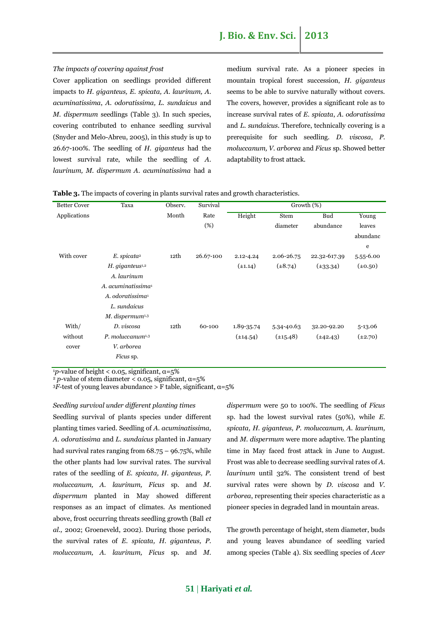#### *The impacts of covering against frost*

Cover application on seedlings provided different impacts to *H. giganteus, E. spicata, A. laurinum, A. acuminatissima*, *A. odoratissima, L. sundaicus* and *M. dispermum* seedlings (Table 3)*.* In such species, covering contributed to enhance seedling survival (Snyder and Melo-Abreu, 2005), in this study is up to 26.67-100%. The seedling of *H. giganteus* had the lowest survival rate, while the seedling of *A. laurinum, M. dispermum A. acuminatissima* had a medium survival rate. As a pioneer species in mountain tropical forest succession, *H. giganteus* seems to be able to survive naturally without covers. The covers, however, provides a significant role as to increase survival rates of *E. spicata*, *A. odoratissima* and *L. sundaicus*. Therefore, technically covering is a prerequisite for such seedling. *D. viscosa*, *P. moluccanum, V. arborea* and *Ficus* sp. Showed better adaptability to frost attack.

| <b>Better Cover</b> | Taxa                           | Observ. | Survival  |               |               | Growth (%)    |              |
|---------------------|--------------------------------|---------|-----------|---------------|---------------|---------------|--------------|
| Applications        |                                | Month   | Rate      | Height        | <b>Stem</b>   | <b>Bud</b>    | Young        |
|                     |                                |         | (%)       |               | diameter      | abundance     | leaves       |
|                     |                                |         |           |               |               |               | abundanc     |
|                     |                                |         |           |               |               |               | e            |
| With cover          | $E.$ spicata <sup>2</sup>      | 12th    | 26.67-100 | 2.12-4.24     | 2.06-26.75    | 22.32-617.39  | 5.55-6.00    |
|                     | $H.$ giganteus <sup>1,2</sup>  |         |           | $(\pm 1.14)$  | $(\pm 8.74)$  | $(\pm 33.34)$ | $(\pm 0.50)$ |
|                     | A. laurinum                    |         |           |               |               |               |              |
|                     | A. acuminatissima <sup>1</sup> |         |           |               |               |               |              |
|                     | A. odoratissima <sup>1</sup>   |         |           |               |               |               |              |
|                     | L. sundaicus                   |         |           |               |               |               |              |
|                     | M. dispermum <sup>1,3</sup>    |         |           |               |               |               |              |
| With/               | D. viscosa                     | 12th    | 60-100    | 1.89-35.74    | 5.34-40.63    | 32.20-92.20   | 5-13.06      |
| without             | $P.$ moluccanum $^{1,3}$       |         |           | $(\pm 14.54)$ | $(\pm 15.48)$ | $(\pm 42.43)$ | $(\pm 2.70)$ |
| cover               | V. arborea                     |         |           |               |               |               |              |
|                     | Ficus sp.                      |         |           |               |               |               |              |
|                     |                                |         |           |               |               |               |              |

**Table 3.** The impacts of covering in plants survival rates and growth characteristics.

<sup>1</sup>p-value of height < 0.05, significant,  $\alpha$ =5%

<sup>2</sup> *p*-value of stem diameter <  $0.05$ , significant,  $α=5%$ 

 $3\overline{F}$ -test of young leaves abundance > F table, significant,  $\alpha$ =5%

*Seedling survival under different planting times* Seedling survival of plants species under different planting times varied. Seedling of *A. acuminatissima, A. odoratissima* and *L. sundaicus* planted in January had survival rates ranging from  $68.75 - 96.75$ %, while the other plants had low survival rates. The survival rates of the seedling of *E. spicata, H. giganteus, P. moluccanum, A. laurinum, Ficus* sp. and *M. dispermum* planted in May showed different responses as an impact of climates. As mentioned above, frost occurring threats seedling growth (Ball *et al.,* 2002; Groeneveld, 2002). During those periods, the survival rates of *E. spicata, H. giganteus, P. moluccanum, A. laurinum, Ficus* sp. and *M.* 

*dispermum* were 50 to 100%. The seedling of *Ficus*  sp. had the lowest survival rates (50%), while *E. spicata, H. giganteus, P. moluccanum, A. laurinum,*  and *M. dispermum* were more adaptive. The planting time in May faced frost attack in June to August. Frost was able to decrease seedling survival rates of *A. laurinum* until 32%. The consistent trend of best survival rates were shown by *D. viscosa* and *V. arborea*, representing their species characteristic as a pioneer species in degraded land in mountain areas.

The growth percentage of height, stem diameter, buds and young leaves abundance of seedling varied among species (Table 4). Six seedling species of *Acer* 

**51** | **Hariyati** *et al.*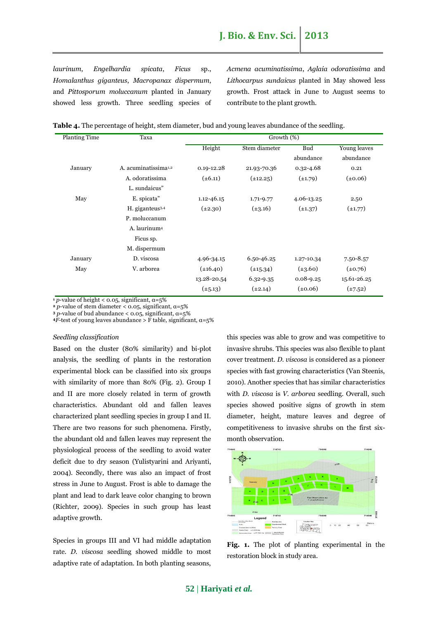*laurinum*, *Engelhardia spicata*, *Ficus* sp., *Homalanthus giganteus*, *Macropanax dispermum*, and *Pittosporum moluccanum* planted in January showed less growth. Three seedling species of *Acmena acuminatissima*, *Aglaia odoratissima* and *Lithocarpus sundaicus* planted in May showed less growth. Frost attack in June to August seems to contribute to the plant growth.

|  |  |  |  |  |  |  | Table 4. The percentage of height, stem diameter, bud and young leaves abundance of the seedling. |
|--|--|--|--|--|--|--|---------------------------------------------------------------------------------------------------|
|--|--|--|--|--|--|--|---------------------------------------------------------------------------------------------------|

| <b>Planting Time</b> | Taxa                             | Growth (%)     |               |               |               |  |  |  |
|----------------------|----------------------------------|----------------|---------------|---------------|---------------|--|--|--|
|                      |                                  | Height         | Stem diameter | <b>Bud</b>    | Young leaves  |  |  |  |
|                      |                                  |                |               | abundance     | abundance     |  |  |  |
| January              | A. acuminatissima <sup>1,2</sup> | $0.19 - 12.28$ | 21.93-70.36   | $0.32 - 4.68$ | 0.21          |  |  |  |
|                      | A. odoratissima                  | $(\pm 6.11)$   | $(\pm 12.25)$ | $(\pm 1.79)$  | $(\pm 0.06)$  |  |  |  |
|                      | L. sundaicus"                    |                |               |               |               |  |  |  |
| May                  | E. spicata"                      | $1.12 - 46.15$ | 1.71-9.77     | 4.06-13.25    | 2.50          |  |  |  |
|                      | H. giganteus <sup>3,4</sup>      | $(\pm 2.30)$   | $(\pm 3.16)$  | $(\pm 1.37)$  | $(\pm 1.77)$  |  |  |  |
|                      | P. moluccanum                    |                |               |               |               |  |  |  |
|                      | A. laurinum <sup>4</sup>         |                |               |               |               |  |  |  |
|                      | Ficus sp.                        |                |               |               |               |  |  |  |
|                      | M. dispermum                     |                |               |               |               |  |  |  |
| January              | D. viscosa                       | 4.96-34.15     | 6.50-46.25    | 1.27-10.34    | $7.50 - 8.57$ |  |  |  |
| May                  | V. arborea                       | $(\pm 16.40)$  | $(\pm 15.34)$ | $(\pm 3.60)$  | $(\pm 0.76)$  |  |  |  |
|                      |                                  | 13.28-20.54    | 6.32-9.35     | $0.08 - 9.25$ | 15.61-26.25   |  |  |  |
|                      |                                  | $(\pm 5.13)$   | $(\pm 2.14)$  | $(\pm 0.06)$  | $(\pm 7.52)$  |  |  |  |
|                      |                                  |                |               |               |               |  |  |  |

 $\frac{1}{2}$  *p*-value of height < 0.05, significant,  $\alpha = 5\%$ 

**<sup>2</sup>** *p*-value of stem diameter < 0.05, significant, α=5%

**<sup>3</sup>** *p*-value of bud abundance < 0.05, significant, α=5%

 $4\overline{F}$ -test of young leaves abundance > F table, significant,  $\alpha$ =5%

#### *Seedling classification*

Based on the cluster (80% similarity) and bi-plot analysis, the seedling of plants in the restoration experimental block can be classified into six groups with similarity of more than 80% (Fig. 2). Group I and II are more closely related in term of growth characteristics. Abundant old and fallen leaves characterized plant seedling species in group I and II. There are two reasons for such phenomena. Firstly, the abundant old and fallen leaves may represent the physiological process of the seedling to avoid water deficit due to dry season (Yulistyarini and Ariyanti, 2004). Secondly, there was also an impact of frost stress in June to August. Frost is able to damage the plant and lead to dark leave color changing to brown (Richter, 2009). Species in such group has least adaptive growth.

Species in groups III and VI had middle adaptation rate. *D. viscosa* seedling showed middle to most adaptive rate of adaptation. In both planting seasons, this species was able to grow and was competitive to invasive shrubs. This species was also flexible to plant cover treatment. *D. viscosa* is considered as a pioneer species with fast growing characteristics (Van Steenis, 2010). Another species that has similar characteristics with *D. viscosa* is *V. arborea* seedling. Overall, such species showed positive signs of growth in stem diameter, height, mature leaves and degree of competitiveness to invasive shrubs on the first sixmonth observation.



**Fig. 1.** The plot of planting experimental in the restoration block in study area.

# **52** | **Hariyati** *et al.*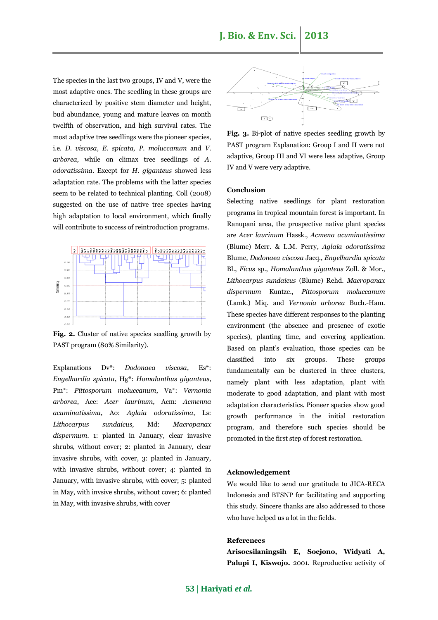The species in the last two groups, IV and V, were the most adaptive ones. The seedling in these groups are characterized by positive stem diameter and height, bud abundance, young and mature leaves on month twelfth of observation, and high survival rates. The most adaptive tree seedlings were the pioneer species, i.e. *D. viscosa*, *E. spicata, P. moluccanum* and *V. arborea,* while on climax tree seedlings of *A. odoratissima.* Except for *H. giganteus* showed less adaptation rate. The problems with the latter species seem to be related to technical planting. Coll (2008) suggested on the use of native tree species having high adaptation to local environment, which finally will contribute to success of reintroduction programs.



Fig. 2. Cluster of native species seedling growth by PAST program (80% Similarity).

Explanations Dv\*: *Dodonaea viscosa*, Es\*: *Engelhardia spicata*, Hg\*: *Homalanthus giganteus*, Pm\*: *Pittosporum moluccanum*, Va\*: *Vernonia arborea*, Ace: *Acer laurinum*, Acm: *Acmenna acuminatissima*, Ao: *Aglaia odoratissima*, Ls: *Lithocarpus sundaicus,* Md: *Macropanax dispermum*. 1: planted in January, clear invasive shrubs, without cover; 2: planted in January, clear invasive shrubs, with cover, 3: planted in January, with invasive shrubs, without cover; 4: planted in January, with invasive shrubs, with cover; 5: planted in May, with invsive shrubs, without cover; 6: planted in May, with invasive shrubs, with cover



**Fig. 3.** Bi-plot of native species seedling growth by PAST program Explanation: Group I and II were not adaptive, Group III and VI were less adaptive, Group IV and V were very adaptive.

### **Conclusion**

Selecting native seedlings for plant restoration programs in tropical mountain forest is important. In Ranupani area, the prospective native plant species are *Acer laurinum* Hassk., *Acmena acuminatissima* (Blume) Merr. & L.M. Perry, *Aglaia odoratissima* Blume, *Dodonaea viscosa* Jacq., *Engelhardia spicata* Bl., *Ficus* sp., *Homalanthus giganteus* Zoll. & Mor., *Lithocarpus sundaicus* (Blume) Rehd. *Macropanax dispermum* Kuntze., *Pittosporum moluccanum* (Lamk.) Miq. and *Vernonia arborea* Buch.-Ham. These species have different responses to the planting environment (the absence and presence of exotic species), planting time, and covering application. Based on plant's evaluation, those species can be classified into six groups. These groups fundamentally can be clustered in three clusters, namely plant with less adaptation, plant with moderate to good adaptation, and plant with most adaptation characteristics. Pioneer species show good growth performance in the initial restoration program, and therefore such species should be promoted in the first step of forest restoration.

### **Acknowledgement**

We would like to send our gratitude to JICA-RECA Indonesia and BTSNP for facilitating and supporting this study. Sincere thanks are also addressed to those who have helped us a lot in the fields.

#### **References**

**Arisoesilaningsih E, Soejono, Widyati A,**  Palupi I, Kiswojo. 2001. Reproductive activity of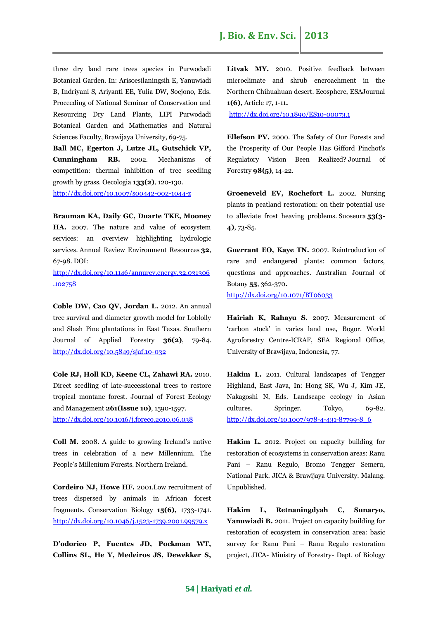three dry land rare trees species in Purwodadi Botanical Garden. In: Arisoesilaningsih E, Yanuwiadi B, Indriyani S, Ariyanti EE, Yulia DW, Soejono, Eds. Proceeding of National Seminar of Conservation and Resourcing Dry Land Plants, LIPI Purwodadi Botanical Garden and Mathematics and Natural Sciences Faculty, Brawijaya University, 69-75.

**Ball MC, Egerton J, Lutze JL, Gutschick VP, Cunningham RB.** 2002. Mechanisms of competition: thermal inhibition of tree seedling growth by grass. Oecologia **133(2)**, 120-130. <http://dx.doi.org/10.1007/s00442-002-1044-z>

**Brauman KA, Daily GC, Duarte TKE, Mooney HA.** 2007. The nature and value of ecosystem services: an overview highlighting hydrologic services. Annual Review Environment Resources **32**, 67-98. DOI:

[http://dx.doi.org/10.1146/annurev.energy.32.031306](http://dx.doi.org/10.1146/annurev.energy.32.031306.102758) [.102758](http://dx.doi.org/10.1146/annurev.energy.32.031306.102758)

**Coble DW, Cao QV, Jordan L.** 2012. An annual tree survival and diameter growth model for Loblolly and Slash Pine plantations in East Texas. Southern Journal of Applied Forestry **36(2)**, 79-84. <http://dx.doi.org/10.5849/sjaf.10-032>

**Cole RJ, Holl KD, Keene CL, Zahawi RA.** 2010. Direct seedling of late-successional trees to restore tropical montane forest. Journal of Forest Ecology and Management **261(Issue 10)**, 1590-1597. <http://dx.doi.org/10.1016/j.foreco.2010.06.038>

**Coll M.** 2008. A guide to growing Ireland's native trees in celebration of a new Millennium. The People's Millenium Forests. Northern Ireland.

**Cordeiro NJ, Howe HF.** 2001.Low recruitment of trees dispersed by animals in African forest fragments. Conservation Biology **15(6),** 1733-1741. <http://dx.doi.org/10.1046/j.1523-1739.2001.99579.x>

**D'odorico P, Fuentes JD, Pockman WT, Collins SL, He Y, Medeiros JS, Dewekker S,**  Litvak MY. 2010. Positive feedback between microclimate and shrub encroachment in the Northern Chihuahuan desert. Ecosphere, ESAJournal **1(6),** Article 17, 1-11**.**  <http://dx.doi.org/10.1890/ES10-00073.1>

**Ellefson PV.** 2000. The Safety of Our Forests and the Prosperity of Our People Has Gifford Pinchot's Regulatory Vision Been Realized? Journal of Forestry **98(5)**, 14-22.

**Groeneveld EV, Rochefort L.** 2002. Nursing plants in peatland restoration: on their potential use to alleviate frost heaving problems. Suoseura **53(3- 4)**, 73-85.

**Guerrant EO, Kaye TN.** 2007. Reintroduction of rare and endangered plants: common factors, questions and approaches. Australian Journal of Botany **55**, 362-370**.**

<http://dx.doi.org/10.1071/BT06033>

**Hairiah K, Rahayu S.** 2007. Measurement of 'carbon stock' in varies land use, Bogor. World Agroforestry Centre-ICRAF, SEA Regional Office, University of Brawijaya, Indonesia, 77.

**Hakim L.** 2011. Cultural landscapes of Tengger Highland, East Java, In: Hong SK, Wu J, Kim JE, Nakagoshi N, Eds. Landscape ecology in Asian cultures. Springer. Tokyo, 69-82. [http://dx.doi.org/10.1007/978-4-431-87799-8\\_6](http://dx.doi.org/10.1007/978-4-431-87799-8_6)

**Hakim L.** 2012. Project on capacity building for restoration of ecosystems in conservation areas: Ranu Pani – Ranu Regulo, Bromo Tengger Semeru, National Park. JICA & Brawijaya University. Malang. Unpublished.

**Hakim L, Retnaningdyah C, Sunaryo, Yanuwiadi B.** 2011. Project on capacity building for restoration of ecosystem in conservation area: basic survey for Ranu Pani – Ranu Regulo restoration project, JICA- Ministry of Forestry- Dept. of Biology